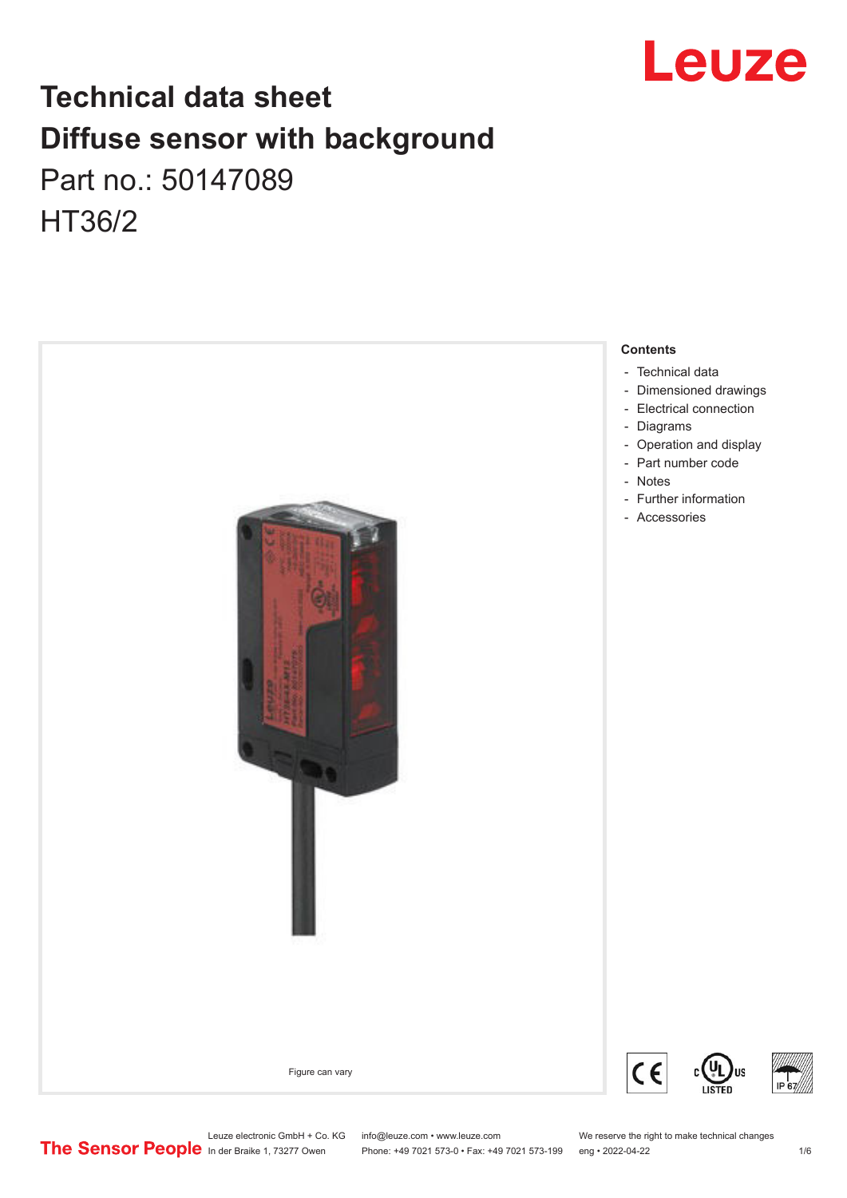

# **Technical data sheet Diffuse sensor with background**  Part no.: 50147089 HT36/2



Leuze electronic GmbH + Co. KG info@leuze.com • www.leuze.com We reserve the right to make technical changes<br>
The Sensor People in der Braike 1, 73277 Owen Phone: +49 7021 573-0 • Fax: +49 7021 573-199 eng • 2022-04-22

Phone: +49 7021 573-0 • Fax: +49 7021 573-199 eng • 2022-04-22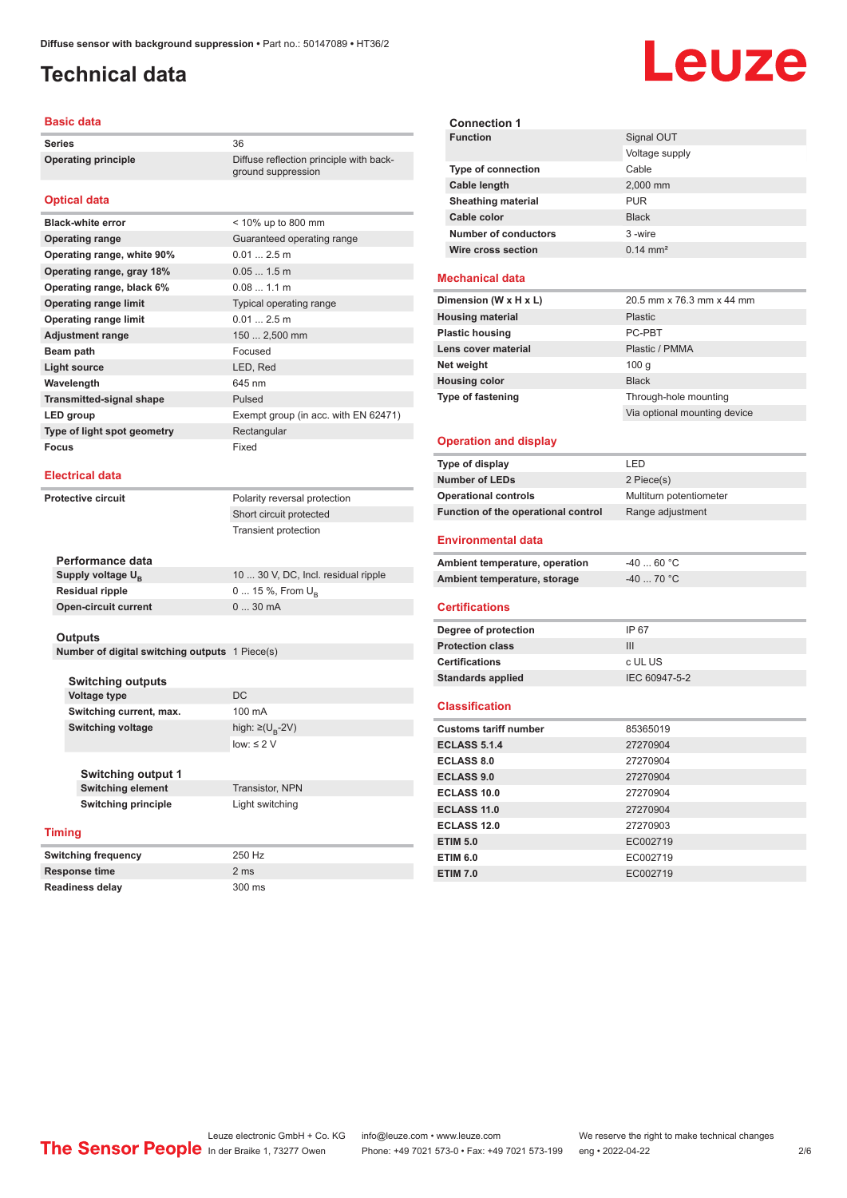# <span id="page-1-0"></span>**Technical data**

#### **Basic data**

**Series** 36 **Operating principle** Diffuse reflection principle with back-

#### **Optical data**

| <b>Black-white error</b>        | < 10% up to 800 mm                   |
|---------------------------------|--------------------------------------|
| <b>Operating range</b>          | Guaranteed operating range           |
| Operating range, white 90%      | 0.012.5m                             |
| Operating range, gray 18%       | $0.051.5$ m                          |
| Operating range, black 6%       | 0.081.1 m                            |
| <b>Operating range limit</b>    | Typical operating range              |
| <b>Operating range limit</b>    | 0.012.5m                             |
| <b>Adjustment range</b>         | 150  2,500 mm                        |
| Beam path                       | Focused                              |
| <b>Light source</b>             | LED, Red                             |
| Wavelength                      | 645 nm                               |
| <b>Transmitted-signal shape</b> | Pulsed                               |
| LED group                       | Exempt group (in acc. with EN 62471) |
| Type of light spot geometry     | Rectangular                          |
| Focus                           | Fixed                                |

#### **Electrical data**

**Protective circuit** Polarity reversal protection

Short circuit protected Transient protection

ground suppression

| 10  30 V, DC, Incl. residual ripple |
|-------------------------------------|
| 0  15 %, From $U_{\rm B}$           |
| $030$ mA                            |
|                                     |

#### **Outputs**

**Number of digital switching outputs** 1 Piece(s)

**Switching outputs Voltage type** DC **Switching current, max.** 100 mA **Switching voltage** 

**Switching output 1**

#### **Timing**

**Switching frequency** 250 Hz **Response time** 2 ms **Readiness delay** 300 ms

high:  $\geq (U_{B} - 2V)$ low: ≤ 2  $V$ 

**Switching element** Transistor, NPN **Switching principle** Light switching



| <b>Connection 1</b>       |                     |
|---------------------------|---------------------|
| <b>Function</b>           | Signal OUT          |
|                           | Voltage supply      |
| <b>Type of connection</b> | Cable               |
| Cable length              | 2,000 mm            |
| <b>Sheathing material</b> | <b>PUR</b>          |
| Cable color               | <b>Black</b>        |
| Number of conductors      | 3-wire              |
| Wire cross section        | $0.14 \text{ mm}^2$ |

#### **Mechanical data**

| 20.5 mm x 76.3 mm x 44 mm    |
|------------------------------|
| <b>Plastic</b>               |
| PC-PBT                       |
| Plastic / PMMA               |
| 100q                         |
| <b>Black</b>                 |
| Through-hole mounting        |
| Via optional mounting device |
|                              |

#### **Operation and display**

| Type of display                     | I FD                    |
|-------------------------------------|-------------------------|
| <b>Number of LEDs</b>               | 2 Piece(s)              |
| <b>Operational controls</b>         | Multiturn potentiometer |
| Function of the operational control | Range adjustment        |

#### **Environmental data**

| Ambient temperature, operation | -40  60 °C |
|--------------------------------|------------|
| Ambient temperature, storage   | -40  70 °C |

#### **Certifications**

| Degree of protection     | IP 67         |
|--------------------------|---------------|
| <b>Protection class</b>  | Ш             |
| <b>Certifications</b>    | c UL US       |
| <b>Standards applied</b> | IFC 60947-5-2 |
|                          |               |

#### **Classification**

| <b>Customs tariff number</b> | 85365019 |
|------------------------------|----------|
| <b>ECLASS 5.1.4</b>          | 27270904 |
| <b>ECLASS 8.0</b>            | 27270904 |
| <b>ECLASS 9.0</b>            | 27270904 |
| ECLASS 10.0                  | 27270904 |
| ECLASS 11.0                  | 27270904 |
| ECLASS 12.0                  | 27270903 |
| <b>ETIM 5.0</b>              | EC002719 |
| <b>ETIM 6.0</b>              | EC002719 |
| <b>ETIM 7.0</b>              | EC002719 |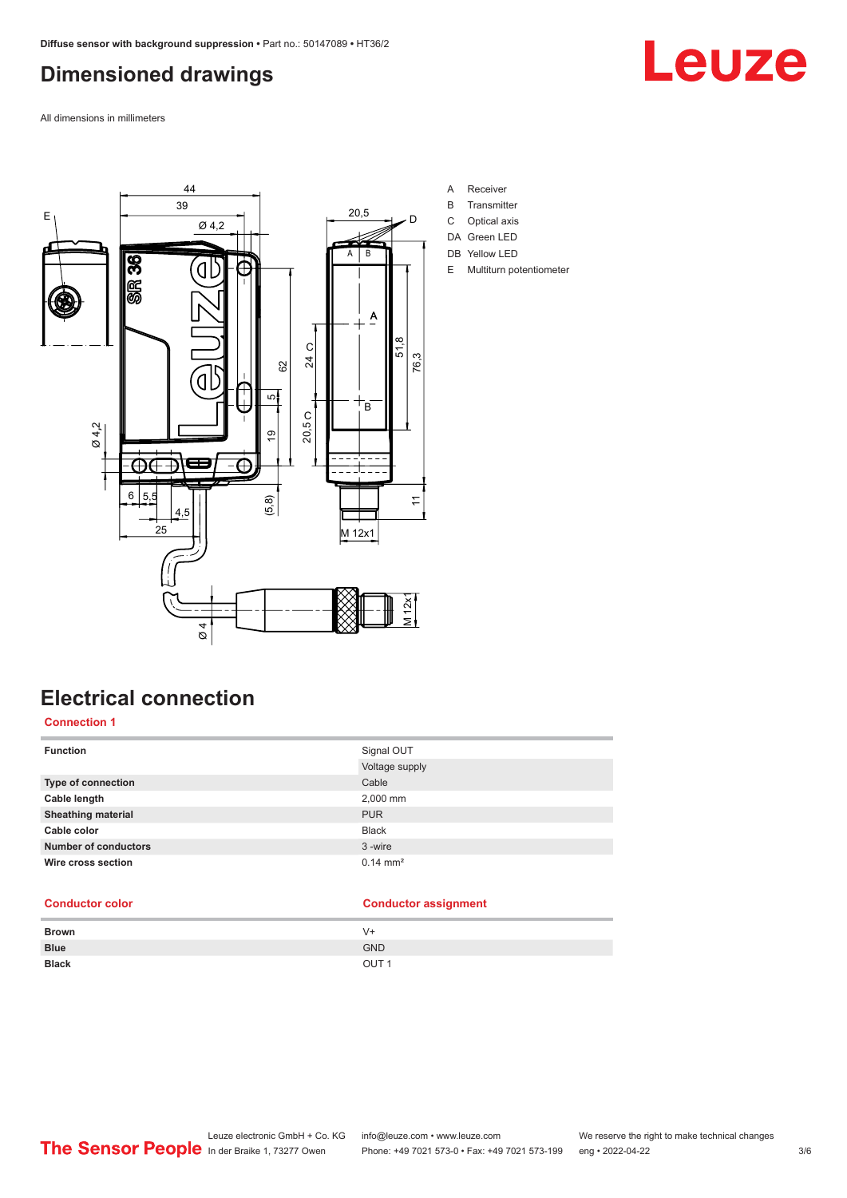# <span id="page-2-0"></span>**Dimensioned drawings**

Leuze

All dimensions in millimeters



**Electrical connection**

### **Connection 1**

| <b>Function</b>             | Signal OUT          |
|-----------------------------|---------------------|
|                             | Voltage supply      |
| <b>Type of connection</b>   | Cable               |
| Cable length                | 2,000 mm            |
| <b>Sheathing material</b>   | <b>PUR</b>          |
| Cable color                 | <b>Black</b>        |
| <b>Number of conductors</b> | 3-wire              |
| Wire cross section          | $0.14 \text{ mm}^2$ |

### **Conductor color Conductor assignment**

| <b>Brown</b> | $V +$            |
|--------------|------------------|
| <b>Blue</b>  | <b>GND</b>       |
| <b>Black</b> | OUT <sub>1</sub> |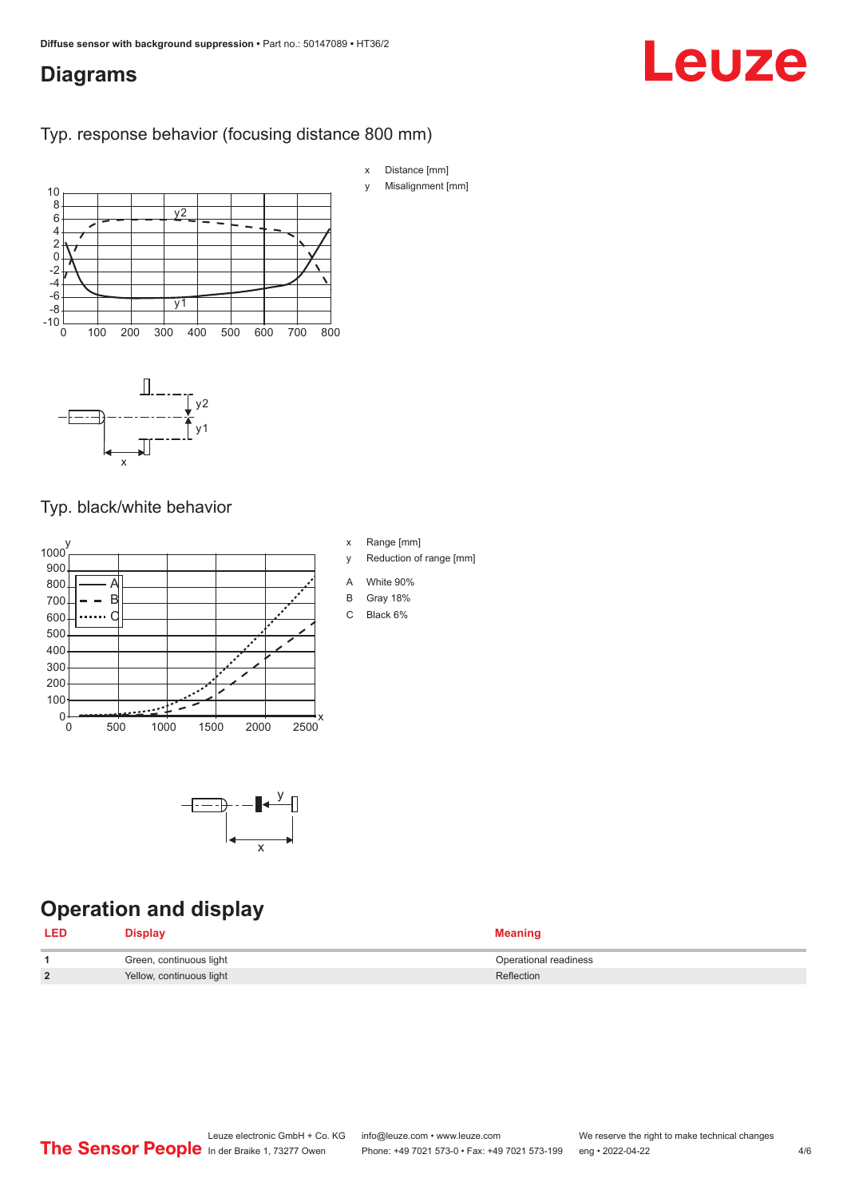# <span id="page-3-0"></span>**Diagrams**

### Typ. response behavior (focusing distance 800 mm)



## Typ. black/white behavior

 $\overline{\mathsf{x}}$ 





# **Operation and display**

| <b>LED</b> | Display                  | <b>Meaning</b>        |
|------------|--------------------------|-----------------------|
|            | Green, continuous light  | Operational readiness |
| C          | Yellow, continuous light | Reflection            |

# Leuze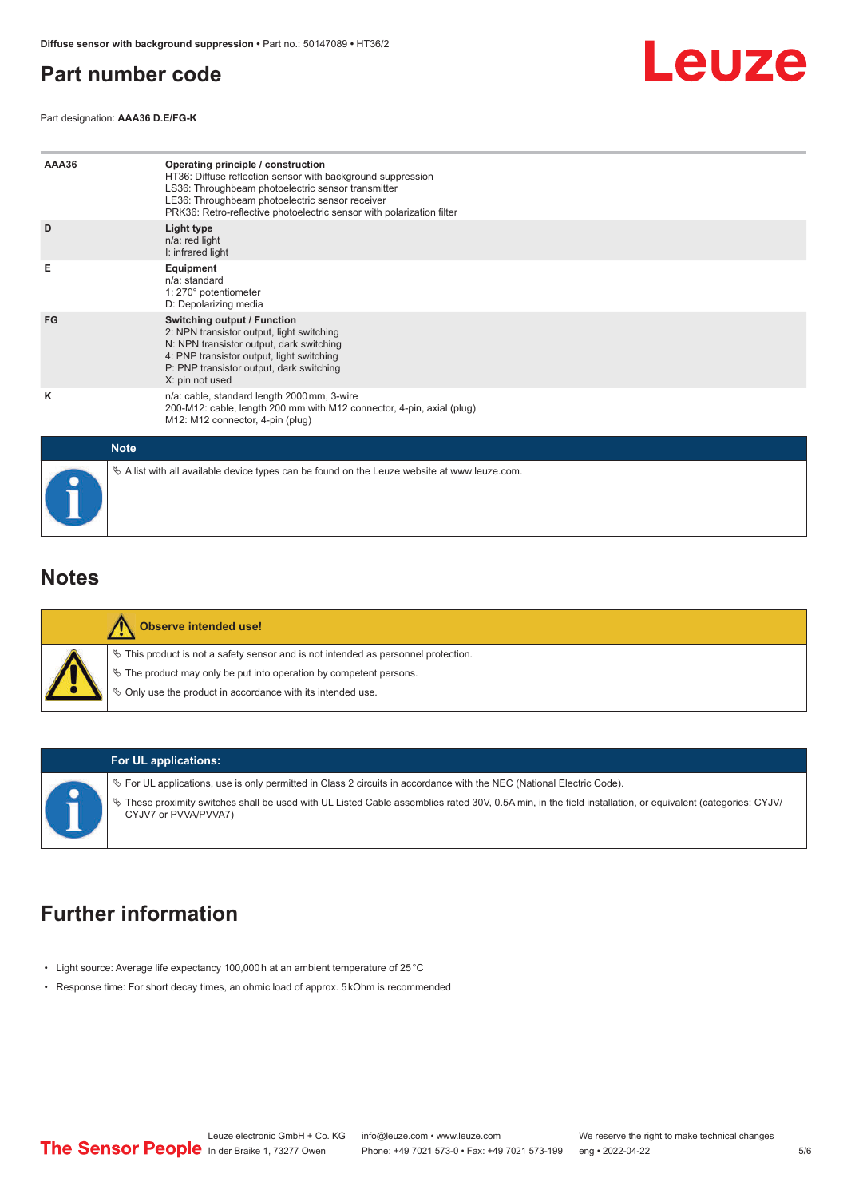# <span id="page-4-0"></span>**Part number code**

Leuze

Part designation: **AAA36 D.E/FG-K**

| AAA36       | Operating principle / construction<br>HT36: Diffuse reflection sensor with background suppression<br>LS36: Throughbeam photoelectric sensor transmitter<br>LE36: Throughbeam photoelectric sensor receiver<br>PRK36: Retro-reflective photoelectric sensor with polarization filter |
|-------------|-------------------------------------------------------------------------------------------------------------------------------------------------------------------------------------------------------------------------------------------------------------------------------------|
| D           | Light type<br>n/a: red light<br>I: infrared light                                                                                                                                                                                                                                   |
| Е           | Equipment<br>$n/a$ : standard<br>1: 270° potentiometer<br>D: Depolarizing media                                                                                                                                                                                                     |
| FG          | Switching output / Function<br>2: NPN transistor output, light switching<br>N: NPN transistor output, dark switching<br>4: PNP transistor output, light switching<br>P: PNP transistor output, dark switching<br>X: pin not used                                                    |
| κ           | n/a: cable, standard length 2000 mm, 3-wire<br>200-M12: cable, length 200 mm with M12 connector, 4-pin, axial (plug)<br>M12: M12 connector, 4-pin (plug)                                                                                                                            |
| <b>Note</b> |                                                                                                                                                                                                                                                                                     |
|             | $\&$ A list with all available device types can be found on the Leuze website at www.leuze.com.                                                                                                                                                                                     |

## **Notes**

| <b>Observe intended use!</b>                                                                                                                                                                                               |
|----------------------------------------------------------------------------------------------------------------------------------------------------------------------------------------------------------------------------|
| $\%$ This product is not a safety sensor and is not intended as personnel protection.<br>₹ The product may only be put into operation by competent persons.<br>♦ Only use the product in accordance with its intended use. |

#### **For UL applications:**

ª For UL applications, use is only permitted in Class 2 circuits in accordance with the NEC (National Electric Code). ª These proximity switches shall be used with UL Listed Cable assemblies rated 30V, 0.5A min, in the field installation, or equivalent (categories: CYJV/ CYJV7 or PVVA/PVVA7)

# **Further information**

- Light source: Average life expectancy 100,000 h at an ambient temperature of 25 °C
- Response time: For short decay times, an ohmic load of approx. 5 kOhm is recommended